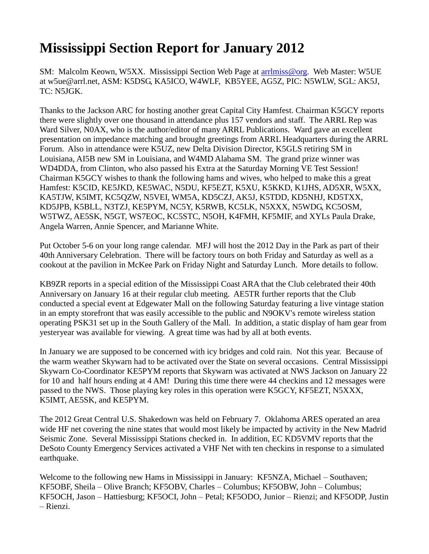## **Mississippi Section Report for January 2012**

SM: Malcolm Keown, W5XX. Mississippi Section Web Page at arrimiss@org. Web Master: W5UE at w5ue@arrl.net, ASM: K5DSG, KA5ICO, W4WLF, KB5YEE, AG5Z, PIC: N5WLW, SGL: AK5J, TC: N5JGK.

Thanks to the Jackson ARC for hosting another great Capital City Hamfest. Chairman K5GCY reports there were slightly over one thousand in attendance plus 157 vendors and staff. The ARRL Rep was Ward Silver, NOAX, who is the author/editor of many ARRL Publications. Ward gave an excellent presentation on impedance matching and brought greetings from ARRL Headquarters during the ARRL Forum. Also in attendance were K5UZ, new Delta Division Director, K5GLS retiring SM in Louisiana, AI5B new SM in Louisiana, and W4MD Alabama SM. The grand prize winner was WD4DDA, from Clinton, who also passed his Extra at the Saturday Morning VE Test Session! Chairman K5GCY wishes to thank the following hams and wives, who helped to make this a great Hamfest: K5CID, KE5JKD, KE5WAC, N5DU, KF5EZT, K5XU, K5KKD, K1JHS, AD5XR, W5XX, KA5TJW, K5IMT, KC5QZW, N5VEI, WM5A, KD5CZJ, AK5J, K5TDD, KD5NHJ, KD5TXX, KD5JPB, K5BLL, N3TZJ, KE5PYM, NC5Y, K5RWB, KC5LK, N5XXX, N5WDG, KC5OSM, W5TWZ, AE5SK, N5GT, WS7EOC, KC5STC, N5OH, K4FMH, KF5MIF, and XYLs Paula Drake, Angela Warren, Annie Spencer, and Marianne White.

Put October 5-6 on your long range calendar. MFJ will host the 2012 Day in the Park as part of their 40th Anniversary Celebration. There will be factory tours on both Friday and Saturday as well as a cookout at the pavilion in McKee Park on Friday Night and Saturday Lunch. More details to follow.

KB9ZR reports in a special edition of the Mississippi Coast ARA that the Club celebrated their 40th Anniversary on January 16 at their regular club meeting. AE5TR further reports that the Club conducted a special event at Edgewater Mall on the following Saturday featuring a live vintage station in an empty storefront that was easily accessible to the public and N9OKV's remote wireless station operating PSK31 set up in the South Gallery of the Mall. In addition, a static display of ham gear from yesteryear was available for viewing. A great time was had by all at both events.

In January we are supposed to be concerned with icy bridges and cold rain. Not this year. Because of the warm weather Skywarn had to be activated over the State on several occasions. Central Mississippi Skywarn Co-Coordinator KE5PYM reports that Skywarn was activated at NWS Jackson on January 22 for 10 and half hours ending at 4 AM! During this time there were 44 checkins and 12 messages were passed to the NWS. Those playing key roles in this operation were K5GCY, KF5EZT, N5XXX, K5IMT, AE5SK, and KE5PYM.

The 2012 Great Central U.S. Shakedown was held on February 7. Oklahoma ARES operated an area wide HF net covering the nine states that would most likely be impacted by activity in the New Madrid Seismic Zone. Several Mississippi Stations checked in. In addition, EC KD5VMV reports that the DeSoto County Emergency Services activated a VHF Net with ten checkins in response to a simulated earthquake.

Welcome to the following new Hams in Mississippi in January: KF5NZA, Michael – Southaven; KF5OBF, Sheila – Olive Branch; KF5OBV, Charles – Columbus; KF5OBW, John – Columbus; KF5OCH, Jason – Hattiesburg; KF5OCI, John – Petal; KF5ODO, Junior – Rienzi; and KF5ODP, Justin – Rienzi.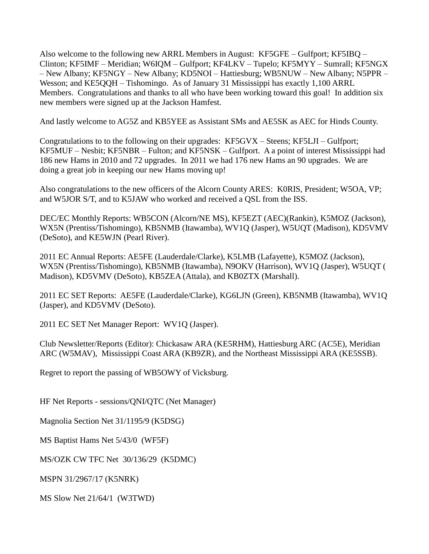Also welcome to the following new ARRL Members in August: KF5GFE – Gulfport; KF5IBQ – Clinton; KF5IMF – Meridian; W6IQM – Gulfport; KF4LKV – Tupelo; KF5MYY – Sumrall; KF5NGX – New Albany; KF5NGY – New Albany; KD5NOI – Hattiesburg; WB5NUW – New Albany; N5PPR – Wesson; and KE5QQH – Tishomingo. As of January 31 Mississippi has exactly 1,100 ARRL Members. Congratulations and thanks to all who have been working toward this goal! In addition six new members were signed up at the Jackson Hamfest.

And lastly welcome to AG5Z and KB5YEE as Assistant SMs and AE5SK as AEC for Hinds County.

Congratulations to to the following on their upgrades: KF5GVX – Steens; KF5LJI – Gulfport; KF5MUF – Nesbit; KF5NBR – Fulton; and KF5NSK – Gulfport. A a point of interest Mississippi had 186 new Hams in 2010 and 72 upgrades. In 2011 we had 176 new Hams an 90 upgrades. We are doing a great job in keeping our new Hams moving up!

Also congratulations to the new officers of the Alcorn County ARES: K0RIS, President; W5OA, VP; and W5JOR S/T, and to K5JAW who worked and received a QSL from the ISS.

DEC/EC Monthly Reports: WB5CON (Alcorn/NE MS), KF5EZT (AEC)(Rankin), K5MOZ (Jackson), WX5N (Prentiss/Tishomingo), KB5NMB (Itawamba), WV1Q (Jasper), W5UQT (Madison), KD5VMV (DeSoto), and KE5WJN (Pearl River).

2011 EC Annual Reports: AE5FE (Lauderdale/Clarke), K5LMB (Lafayette), K5MOZ (Jackson), WX5N (Prentiss/Tishomingo), KB5NMB (Itawamba), N9OKV (Harrison), WV1Q (Jasper), W5UQT ( Madison), KD5VMV (DeSoto), KB5ZEA (Attala), and KB0ZTX (Marshall).

2011 EC SET Reports: AE5FE (Lauderdale/Clarke), KG6LJN (Green), KB5NMB (Itawamba), WV1Q (Jasper), and KD5VMV (DeSoto).

2011 EC SET Net Manager Report: WV1Q (Jasper).

Club Newsletter/Reports (Editor): Chickasaw ARA (KE5RHM), Hattiesburg ARC (AC5E), Meridian ARC (W5MAV), Mississippi Coast ARA (KB9ZR), and the Northeast Mississippi ARA (KE5SSB).

Regret to report the passing of WB5OWY of Vicksburg.

HF Net Reports - sessions/QNI/QTC (Net Manager)

Magnolia Section Net 31/1195/9 (K5DSG)

MS Baptist Hams Net 5/43/0 (WF5F)

MS/OZK CW TFC Net 30/136/29 (K5DMC)

MSPN 31/2967/17 (K5NRK)

MS Slow Net 21/64/1 (W3TWD)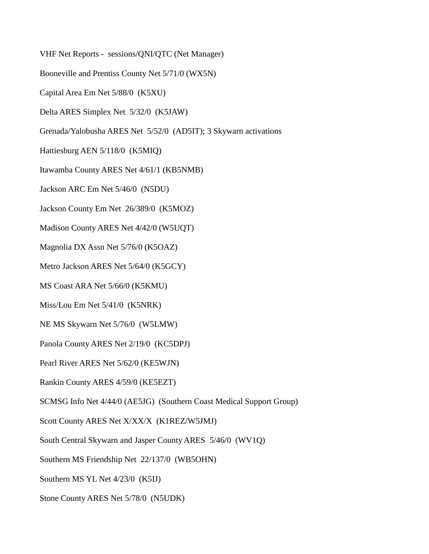- VHF Net Reports sessions/QNI/QTC (Net Manager)
- Booneville and Prentiss County Net 5/71/0 (WX5N)
- Capital Area Em Net 5/88/0 (K5XU)
- Delta ARES Simplex Net 5/32/0 (K5JAW)
- Grenada/Yalobusha ARES Net 5/52/0 (AD5IT); 3 Skywarn activations
- Hattiesburg AEN 5/118/0 (K5MIQ)
- Itawamba County ARES Net 4/61/1 (KB5NMB)
- Jackson ARC Em Net 5/46/0 (N5DU)
- Jackson County Em Net 26/389/0 (K5MOZ)
- Madison County ARES Net 4/42/0 (W5UQT)
- Magnolia DX Assn Net 5/76/0 (K5OAZ)
- Metro Jackson ARES Net 5/64/0 (K5GCY)
- MS Coast ARA Net 5/66/0 (K5KMU)
- Miss/Lou Em Net 5/41/0 (K5NRK)
- NE MS Skywarn Net 5/76/0 (W5LMW)
- Panola County ARES Net 2/19/0 (KC5DPJ)
- Pearl River ARES Net 5/62/0 (KE5WJN)
- Rankin County ARES 4/59/0 (KE5EZT)
- SCMSG Info Net 4/44/0 (AE5JG) (Southern Coast Medical Support Group)
- Scott County ARES Net X/XX/X (K1REZ/W5JMJ)
- South Central Skywarn and Jasper County ARES 5/46/0 (WV1Q)
- Southern MS Friendship Net 22/137/0 (WB5OHN)
- Southern MS YL Net 4/23/0 (K5IJ)
- Stone County ARES Net 5/78/0 (N5UDK)